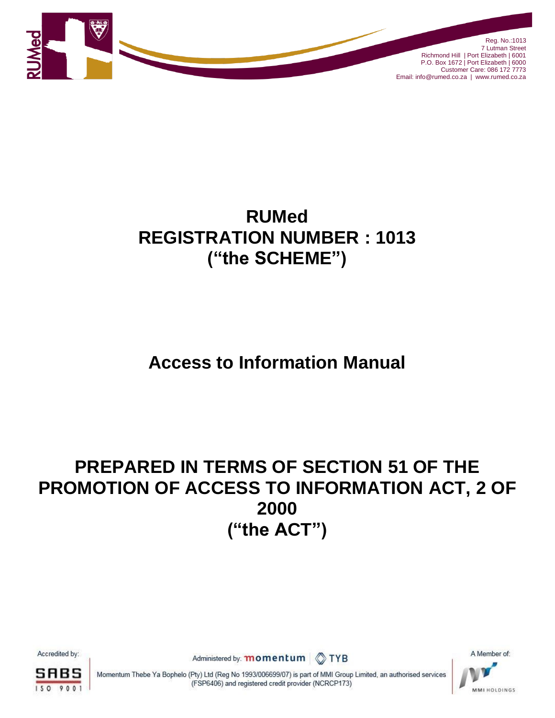

# **RUMed REGISTRATION NUMBER : 1013 ("the SCHEME")**

# **Access to Information Manual**

# **PREPARED IN TERMS OF SECTION 51 OF THE PROMOTION OF ACCESS TO INFORMATION ACT, 2 OF 2000 ("the ACT")**

Accredited by:



Administered by: **momentum** TYB

A Member of: **MMI HOLDINGS** 



Momentum Thebe Ya Bophelo (Pty) Ltd (Reg No 1993/006699/07) is part of MMI Group Limited, an authorised services<br>
(FSP6406) and registered credit provider (NCRCP173)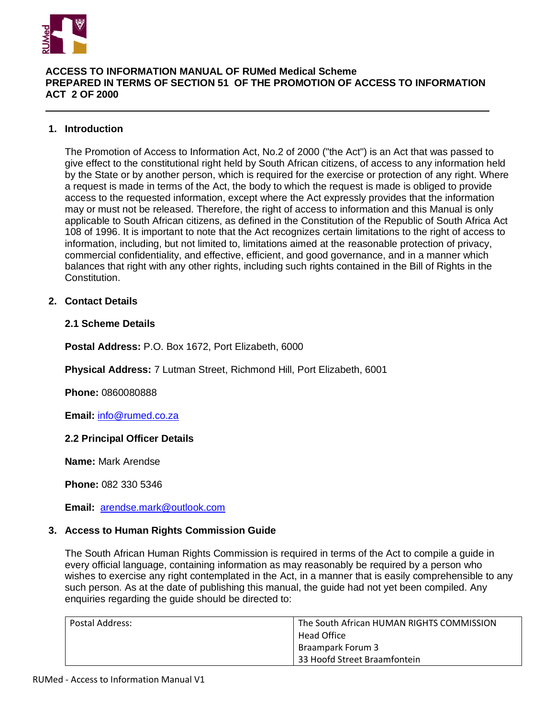

# **ACCESS TO INFORMATION MANUAL OF RUMed Medical Scheme PREPARED IN TERMS OF SECTION 51 OF THE PROMOTION OF ACCESS TO INFORMATION ACT 2 OF 2000**

# **1. Introduction**

The Promotion of Access to Information Act, No.2 of 2000 ("the Act") is an Act that was passed to give effect to the constitutional right held by South African citizens, of access to any information held by the State or by another person, which is required for the exercise or protection of any right. Where a request is made in terms of the Act, the body to which the request is made is obliged to provide access to the requested information, except where the Act expressly provides that the information may or must not be released. Therefore, the right of access to information and this Manual is only applicable to South African citizens, as defined in the Constitution of the Republic of South Africa Act 108 of 1996. It is important to note that the Act recognizes certain limitations to the right of access to information, including, but not limited to, limitations aimed at the reasonable protection of privacy, commercial confidentiality, and effective, efficient, and good governance, and in a manner which balances that right with any other rights, including such rights contained in the Bill of Rights in the Constitution.

## **2. Contact Details**

## **2.1 Scheme Details**

**Postal Address:** P.O. Box 1672, Port Elizabeth, 6000

**Physical Address:** 7 Lutman Street, Richmond Hill, Port Elizabeth, 6001

**Phone:** 0860080888

**Email:** [info@rumed.co.za](mailto:info@suremedhealth.co.za)

#### **2.2 Principal Officer Details**

**Name:** Mark Arendse

**Phone:** 082 330 5346

**Email:** [arendse.mark@outlook.com](mailto:arendse.mark@outlook.com)

#### **3. Access to Human Rights Commission Guide**

The South African Human Rights Commission is required in terms of the Act to compile a guide in every official language, containing information as may reasonably be required by a person who wishes to exercise any right contemplated in the Act, in a manner that is easily comprehensible to any such person. As at the date of publishing this manual, the guide had not yet been compiled. Any enquiries regarding the guide should be directed to:

| Postal Address: | The South African HUMAN RIGHTS COMMISSION<br>Head Office |
|-----------------|----------------------------------------------------------|
|                 | Braampark Forum 3<br>33 Hoofd Street Braamfontein        |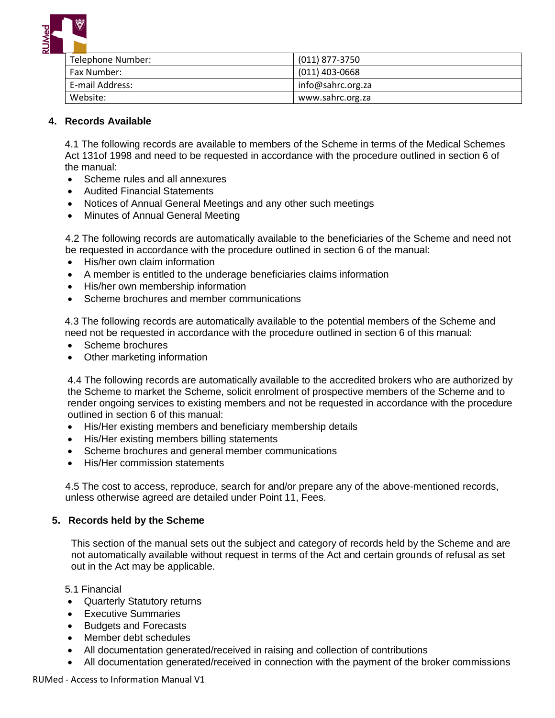

| Telephone Number: | (011) 877-3750    |
|-------------------|-------------------|
| Fax Number:       | $(011)$ 403-0668  |
| E-mail Address:   | info@sahrc.org.za |
| Website:          | www.sahrc.org.za  |

# **4. Records Available**

4.1 The following records are available to members of the Scheme in terms of the Medical Schemes Act 131of 1998 and need to be requested in accordance with the procedure outlined in section 6 of the manual:

- Scheme rules and all annexures
- Audited Financial Statements
- Notices of Annual General Meetings and any other such meetings
- Minutes of Annual General Meeting

4.2 The following records are automatically available to the beneficiaries of the Scheme and need not be requested in accordance with the procedure outlined in section 6 of the manual:

- His/her own claim information
- A member is entitled to the underage beneficiaries claims information
- His/her own membership information
- Scheme brochures and member communications

4.3 The following records are automatically available to the potential members of the Scheme and need not be requested in accordance with the procedure outlined in section 6 of this manual:

- Scheme brochures
- Other marketing information

4.4 The following records are automatically available to the accredited brokers who are authorized by the Scheme to market the Scheme, solicit enrolment of prospective members of the Scheme and to render ongoing services to existing members and not be requested in accordance with the procedure outlined in section 6 of this manual:

- His/Her existing members and beneficiary membership details
- His/Her existing members billing statements
- Scheme brochures and general member communications
- His/Her commission statements

4.5 The cost to access, reproduce, search for and/or prepare any of the above-mentioned records, unless otherwise agreed are detailed under Point 11, Fees.

#### **5. Records held by the Scheme**

This section of the manual sets out the subject and category of records held by the Scheme and are not automatically available without request in terms of the Act and certain grounds of refusal as set out in the Act may be applicable.

5.1 Financial

- Quarterly Statutory returns
- Executive Summaries
- Budgets and Forecasts
- Member debt schedules
- All documentation generated/received in raising and collection of contributions
- All documentation generated/received in connection with the payment of the broker commissions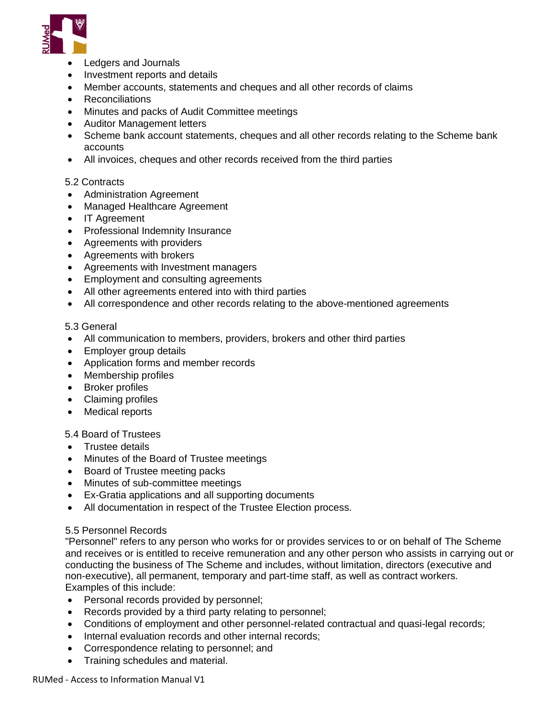

- Ledgers and Journals
- Investment reports and details
- Member accounts, statements and cheques and all other records of claims
- Reconciliations
- Minutes and packs of Audit Committee meetings
- Auditor Management letters
- Scheme bank account statements, cheques and all other records relating to the Scheme bank accounts
- All invoices, cheques and other records received from the third parties

#### 5.2 Contracts

- Administration Agreement
- Managed Healthcare Agreement
- IT Agreement
- Professional Indemnity Insurance
- Agreements with providers
- Agreements with brokers
- Agreements with Investment managers
- Employment and consulting agreements
- All other agreements entered into with third parties
- All correspondence and other records relating to the above-mentioned agreements

#### 5.3 General

- All communication to members, providers, brokers and other third parties
- Employer group details
- Application forms and member records
- Membership profiles
- Broker profiles
- Claiming profiles
- Medical reports

5.4 Board of Trustees

- Trustee details
- Minutes of the Board of Trustee meetings
- Board of Trustee meeting packs
- Minutes of sub-committee meetings
- Ex-Gratia applications and all supporting documents
- All documentation in respect of the Trustee Election process.

#### 5.5 Personnel Records

"Personnel" refers to any person who works for or provides services to or on behalf of The Scheme and receives or is entitled to receive remuneration and any other person who assists in carrying out or conducting the business of The Scheme and includes, without limitation, directors (executive and non-executive), all permanent, temporary and part-time staff, as well as contract workers. Examples of this include:

- Personal records provided by personnel;
- Records provided by a third party relating to personnel;
- Conditions of employment and other personnel-related contractual and quasi-legal records;
- Internal evaluation records and other internal records;
- Correspondence relating to personnel; and
- Training schedules and material.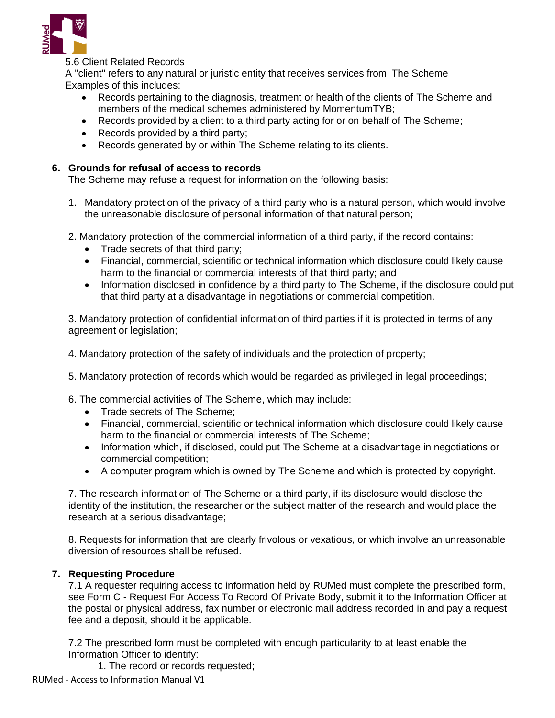

# 5.6 Client Related Records

A "client" refers to any natural or juristic entity that receives services from The Scheme Examples of this includes:

- Records pertaining to the diagnosis, treatment or health of the clients of The Scheme and members of the medical schemes administered by MomentumTYB;
- Records provided by a client to a third party acting for or on behalf of The Scheme;
- Records provided by a third party;
- Records generated by or within The Scheme relating to its clients.

# **6. Grounds for refusal of access to records**

The Scheme may refuse a request for information on the following basis:

- 1. Mandatory protection of the privacy of a third party who is a natural person, which would involve the unreasonable disclosure of personal information of that natural person;
- 2. Mandatory protection of the commercial information of a third party, if the record contains:
	- Trade secrets of that third party;
	- Financial, commercial, scientific or technical information which disclosure could likely cause harm to the financial or commercial interests of that third party; and
	- Information disclosed in confidence by a third party to The Scheme, if the disclosure could put that third party at a disadvantage in negotiations or commercial competition.

3. Mandatory protection of confidential information of third parties if it is protected in terms of any agreement or legislation;

- 4. Mandatory protection of the safety of individuals and the protection of property;
- 5. Mandatory protection of records which would be regarded as privileged in legal proceedings;
- 6. The commercial activities of The Scheme, which may include:
	- Trade secrets of The Scheme;
	- Financial, commercial, scientific or technical information which disclosure could likely cause harm to the financial or commercial interests of The Scheme;
	- Information which, if disclosed, could put The Scheme at a disadvantage in negotiations or commercial competition;
	- A computer program which is owned by The Scheme and which is protected by copyright.

7. The research information of The Scheme or a third party, if its disclosure would disclose the identity of the institution, the researcher or the subject matter of the research and would place the research at a serious disadvantage;

8. Requests for information that are clearly frivolous or vexatious, or which involve an unreasonable diversion of resources shall be refused.

# **7. Requesting Procedure**

7.1 A requester requiring access to information held by RUMed must complete the prescribed form, see Form C - Request For Access To Record Of Private Body, submit it to the Information Officer at the postal or physical address, fax number or electronic mail address recorded in and pay a request fee and a deposit, should it be applicable.

7.2 The prescribed form must be completed with enough particularity to at least enable the Information Officer to identify:

1. The record or records requested;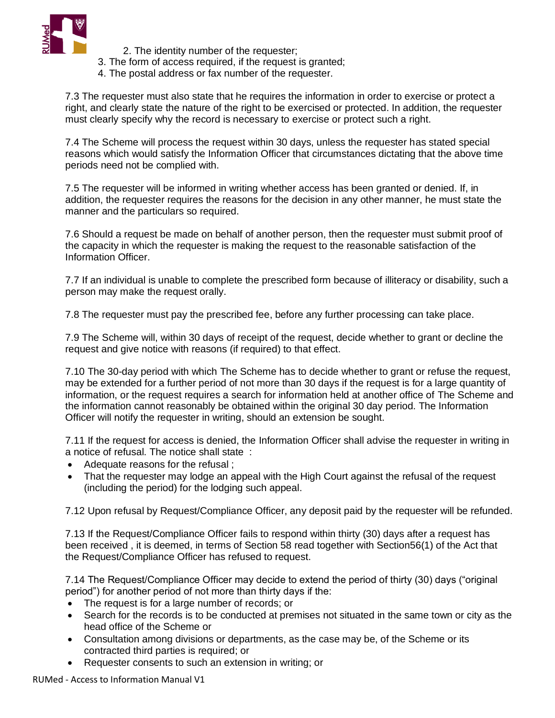

- 2. The identity number of the requester;
- 3. The form of access required, if the request is granted;
- 4. The postal address or fax number of the requester.

7.3 The requester must also state that he requires the information in order to exercise or protect a right, and clearly state the nature of the right to be exercised or protected. In addition, the requester must clearly specify why the record is necessary to exercise or protect such a right.

7.4 The Scheme will process the request within 30 days, unless the requester has stated special reasons which would satisfy the Information Officer that circumstances dictating that the above time periods need not be complied with.

7.5 The requester will be informed in writing whether access has been granted or denied. If, in addition, the requester requires the reasons for the decision in any other manner, he must state the manner and the particulars so required.

7.6 Should a request be made on behalf of another person, then the requester must submit proof of the capacity in which the requester is making the request to the reasonable satisfaction of the Information Officer.

7.7 If an individual is unable to complete the prescribed form because of illiteracy or disability, such a person may make the request orally.

7.8 The requester must pay the prescribed fee, before any further processing can take place.

7.9 The Scheme will, within 30 days of receipt of the request, decide whether to grant or decline the request and give notice with reasons (if required) to that effect.

7.10 The 30-day period with which The Scheme has to decide whether to grant or refuse the request, may be extended for a further period of not more than 30 days if the request is for a large quantity of information, or the request requires a search for information held at another office of The Scheme and the information cannot reasonably be obtained within the original 30 day period. The Information Officer will notify the requester in writing, should an extension be sought.

7.11 If the request for access is denied, the Information Officer shall advise the requester in writing in a notice of refusal. The notice shall state :

- Adequate reasons for the refusal ;
- That the requester may lodge an appeal with the High Court against the refusal of the request (including the period) for the lodging such appeal.

7.12 Upon refusal by Request/Compliance Officer, any deposit paid by the requester will be refunded.

7.13 If the Request/Compliance Officer fails to respond within thirty (30) days after a request has been received , it is deemed, in terms of Section 58 read together with Section56(1) of the Act that the Request/Compliance Officer has refused to request.

7.14 The Request/Compliance Officer may decide to extend the period of thirty (30) days ("original period") for another period of not more than thirty days if the:

- The request is for a large number of records; or
- Search for the records is to be conducted at premises not situated in the same town or city as the head office of the Scheme or
- Consultation among divisions or departments, as the case may be, of the Scheme or its contracted third parties is required; or
- Requester consents to such an extension in writing; or

RUMed - Access to Information Manual V1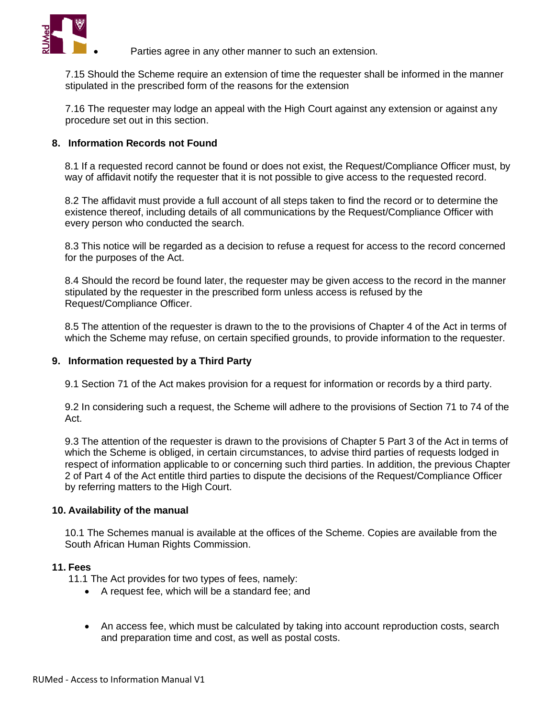

Parties agree in any other manner to such an extension.

7.15 Should the Scheme require an extension of time the requester shall be informed in the manner stipulated in the prescribed form of the reasons for the extension

7.16 The requester may lodge an appeal with the High Court against any extension or against any procedure set out in this section.

### **8. Information Records not Found**

8.1 If a requested record cannot be found or does not exist, the Request/Compliance Officer must, by way of affidavit notify the requester that it is not possible to give access to the requested record.

8.2 The affidavit must provide a full account of all steps taken to find the record or to determine the existence thereof, including details of all communications by the Request/Compliance Officer with every person who conducted the search.

8.3 This notice will be regarded as a decision to refuse a request for access to the record concerned for the purposes of the Act.

8.4 Should the record be found later, the requester may be given access to the record in the manner stipulated by the requester in the prescribed form unless access is refused by the Request/Compliance Officer.

8.5 The attention of the requester is drawn to the to the provisions of Chapter 4 of the Act in terms of which the Scheme may refuse, on certain specified grounds, to provide information to the requester.

#### **9. Information requested by a Third Party**

9.1 Section 71 of the Act makes provision for a request for information or records by a third party.

9.2 In considering such a request, the Scheme will adhere to the provisions of Section 71 to 74 of the Act.

9.3 The attention of the requester is drawn to the provisions of Chapter 5 Part 3 of the Act in terms of which the Scheme is obliged, in certain circumstances, to advise third parties of requests lodged in respect of information applicable to or concerning such third parties. In addition, the previous Chapter 2 of Part 4 of the Act entitle third parties to dispute the decisions of the Request/Compliance Officer by referring matters to the High Court.

## **10. Availability of the manual**

10.1 The Schemes manual is available at the offices of the Scheme. Copies are available from the South African Human Rights Commission.

#### **11. Fees**

11.1 The Act provides for two types of fees, namely:

- A request fee, which will be a standard fee; and
- An access fee, which must be calculated by taking into account reproduction costs, search and preparation time and cost, as well as postal costs.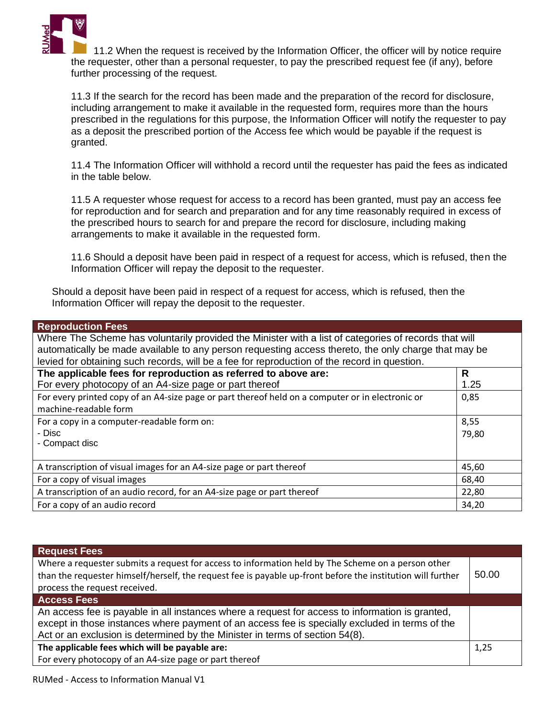

11.2 When the request is received by the Information Officer, the officer will by notice require the requester, other than a personal requester, to pay the prescribed request fee (if any), before further processing of the request.

11.3 If the search for the record has been made and the preparation of the record for disclosure, including arrangement to make it available in the requested form, requires more than the hours prescribed in the regulations for this purpose, the Information Officer will notify the requester to pay as a deposit the prescribed portion of the Access fee which would be payable if the request is granted.

11.4 The Information Officer will withhold a record until the requester has paid the fees as indicated in the table below.

11.5 A requester whose request for access to a record has been granted, must pay an access fee for reproduction and for search and preparation and for any time reasonably required in excess of the prescribed hours to search for and prepare the record for disclosure, including making arrangements to make it available in the requested form.

11.6 Should a deposit have been paid in respect of a request for access, which is refused, then the Information Officer will repay the deposit to the requester.

Should a deposit have been paid in respect of a request for access, which is refused, then the Information Officer will repay the deposit to the requester.

| <b>Reproduction Fees</b>                                                                              |       |  |
|-------------------------------------------------------------------------------------------------------|-------|--|
| Where The Scheme has voluntarily provided the Minister with a list of categories of records that will |       |  |
| automatically be made available to any person requesting access thereto, the only charge that may be  |       |  |
| levied for obtaining such records, will be a fee for reproduction of the record in question.          |       |  |
| The applicable fees for reproduction as referred to above are:                                        | R.    |  |
| For every photocopy of an A4-size page or part thereof                                                | 1.25  |  |
| For every printed copy of an A4-size page or part thereof held on a computer or in electronic or      | 0,85  |  |
| machine-readable form                                                                                 |       |  |
| For a copy in a computer-readable form on:                                                            | 8,55  |  |
| - Disc                                                                                                | 79,80 |  |
| - Compact disc                                                                                        |       |  |
|                                                                                                       |       |  |
| A transcription of visual images for an A4-size page or part thereof                                  | 45,60 |  |
| For a copy of visual images                                                                           | 68,40 |  |
| A transcription of an audio record, for an A4-size page or part thereof                               | 22,80 |  |
| For a copy of an audio record                                                                         | 34,20 |  |

| <b>Request Fees</b>                                                                                         |       |
|-------------------------------------------------------------------------------------------------------------|-------|
| Where a requester submits a request for access to information held by The Scheme on a person other          |       |
| than the requester himself/herself, the request fee is payable up-front before the institution will further | 50.00 |
| process the request received.                                                                               |       |
| <b>Access Fees</b>                                                                                          |       |
| An access fee is payable in all instances where a request for access to information is granted,             |       |
| except in those instances where payment of an access fee is specially excluded in terms of the              |       |
| Act or an exclusion is determined by the Minister in terms of section 54(8).                                |       |
| The applicable fees which will be payable are:                                                              | 1,25  |
| For every photocopy of an A4-size page or part thereof                                                      |       |